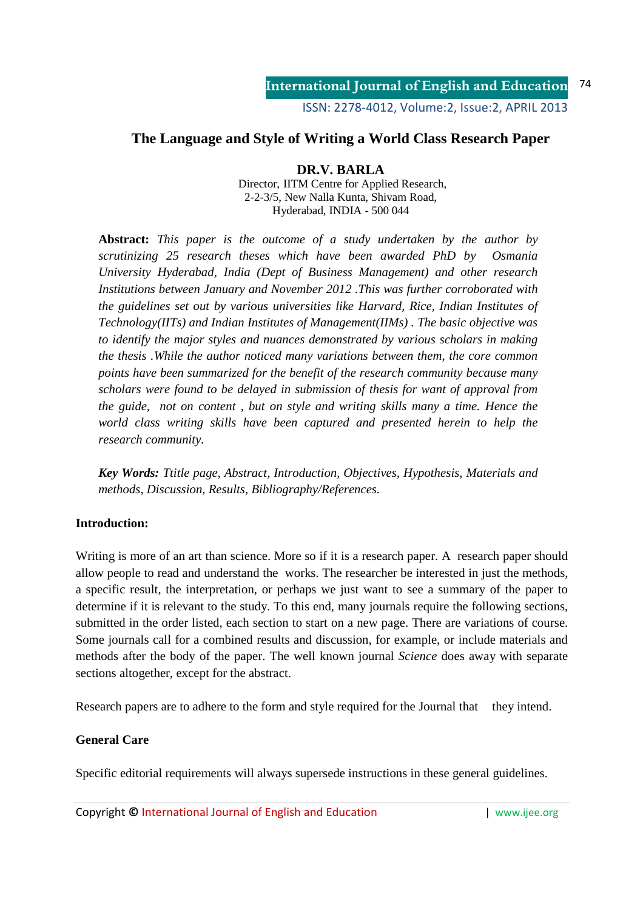ISSN: 2278-4012, Volume:2, Issue:2, APRIL 2013

# **The Language and Style of Writing a World Class Research Paper**

## **DR.V. BARLA**

Director, IITM Centre for Applied Research, 2-2-3/5, New Nalla Kunta, Shivam Road, Hyderabad, INDIA - 500 044

**Abstract:** *This paper is the outcome of a study undertaken by the author by scrutinizing 25 research theses which have been awarded PhD by Osmania University Hyderabad, India (Dept of Business Management) and other research Institutions between January and November 2012 .This was further corroborated with the guidelines set out by various universities like Harvard, Rice, Indian Institutes of Technology(IITs) and Indian Institutes of Management(IIMs) . The basic objective was to identify the major styles and nuances demonstrated by various scholars in making the thesis .While the author noticed many variations between them, the core common points have been summarized for the benefit of the research community because many scholars were found to be delayed in submission of thesis for want of approval from the guide, not on content , but on style and writing skills many a time. Hence the world class writing skills have been captured and presented herein to help the research community.* 

*Key Words: Ttitle page, Abstract, Introduction, Objectives, Hypothesis, Materials and methods, Discussion, Results, Bibliography/References.* 

## **Introduction:**

Writing is more of an art than science. More so if it is a research paper. A research paper should allow people to read and understand the works. The researcher be interested in just the methods, a specific result, the interpretation, or perhaps we just want to see a summary of the paper to determine if it is relevant to the study. To this end, many journals require the following sections, submitted in the order listed, each section to start on a new page. There are variations of course. Some journals call for a combined results and discussion, for example, or include materials and methods after the body of the paper. The well known journal *Science* does away with separate sections altogether, except for the abstract.

Research papers are to adhere to the form and style required for the Journal that they intend.

## **General Care**

Specific editorial requirements will always supersede instructions in these general guidelines.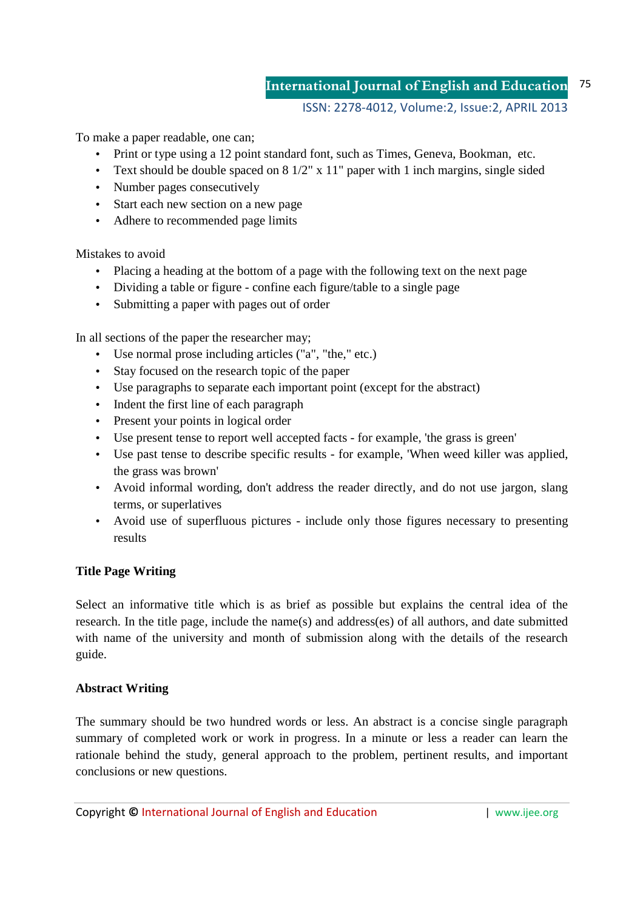#### **International Journal of English and Education** 75

#### ISSN: 2278-4012, Volume:2, Issue:2, APRIL 2013

To make a paper readable, one can;

- Print or type using a 12 point standard font, such as Times, Geneva, Bookman, etc.
- Text should be double spaced on 8 1/2" x 11" paper with 1 inch margins, single sided
- Number pages consecutively
- Start each new section on a new page
- Adhere to recommended page limits

Mistakes to avoid

- Placing a heading at the bottom of a page with the following text on the next page
- Dividing a table or figure confine each figure/table to a single page
- Submitting a paper with pages out of order

In all sections of the paper the researcher may;

- Use normal prose including articles ("a", "the," etc.)
- Stay focused on the research topic of the paper
- Use paragraphs to separate each important point (except for the abstract)
- Indent the first line of each paragraph
- Present your points in logical order
- Use present tense to report well accepted facts for example, 'the grass is green'
- Use past tense to describe specific results for example, 'When weed killer was applied, the grass was brown'
- Avoid informal wording, don't address the reader directly, and do not use jargon, slang terms, or superlatives
- Avoid use of superfluous pictures include only those figures necessary to presenting results

#### **Title Page Writing**

Select an informative title which is as brief as possible but explains the central idea of the research. In the title page, include the name(s) and address(es) of all authors, and date submitted with name of the university and month of submission along with the details of the research guide.

#### **Abstract Writing**

The summary should be two hundred words or less. An abstract is a concise single paragraph summary of completed work or work in progress. In a minute or less a reader can learn the rationale behind the study, general approach to the problem, pertinent results, and important conclusions or new questions.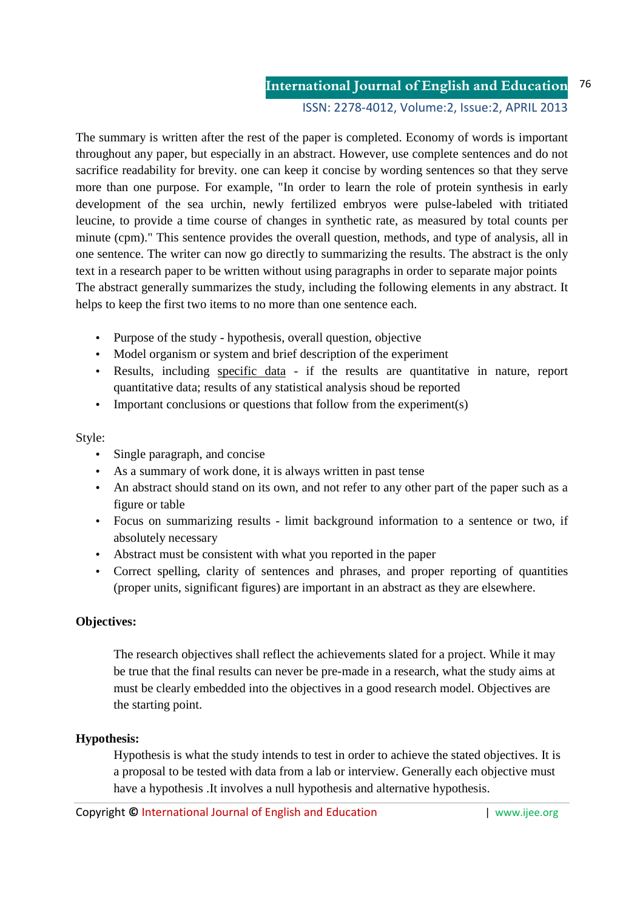**International Journal of English and Education** ISSN: 2278-4012, Volume:2, Issue:2, APRIL 2013 76

The summary is written after the rest of the paper is completed. Economy of words is important throughout any paper, but especially in an abstract. However, use complete sentences and do not sacrifice readability for brevity. one can keep it concise by wording sentences so that they serve more than one purpose. For example, "In order to learn the role of protein synthesis in early development of the sea urchin, newly fertilized embryos were pulse-labeled with tritiated leucine, to provide a time course of changes in synthetic rate, as measured by total counts per minute (cpm)." This sentence provides the overall question, methods, and type of analysis, all in one sentence. The writer can now go directly to summarizing the results. The abstract is the only text in a research paper to be written without using paragraphs in order to separate major points The abstract generally summarizes the study, including the following elements in any abstract. It helps to keep the first two items to no more than one sentence each.

- Purpose of the study hypothesis, overall question, objective
- Model organism or system and brief description of the experiment
- Results, including specific data if the results are quantitative in nature, report quantitative data; results of any statistical analysis shoud be reported
- Important conclusions or questions that follow from the experiment(s)

## Style:

- Single paragraph, and concise
- As a summary of work done, it is always written in past tense
- An abstract should stand on its own, and not refer to any other part of the paper such as a figure or table
- Focus on summarizing results limit background information to a sentence or two, if absolutely necessary
- Abstract must be consistent with what you reported in the paper
- Correct spelling, clarity of sentences and phrases, and proper reporting of quantities (proper units, significant figures) are important in an abstract as they are elsewhere.

# **Objectives:**

The research objectives shall reflect the achievements slated for a project. While it may be true that the final results can never be pre-made in a research, what the study aims at must be clearly embedded into the objectives in a good research model. Objectives are the starting point.

# **Hypothesis:**

Hypothesis is what the study intends to test in order to achieve the stated objectives. It is a proposal to be tested with data from a lab or interview. Generally each objective must have a hypothesis .It involves a null hypothesis and alternative hypothesis.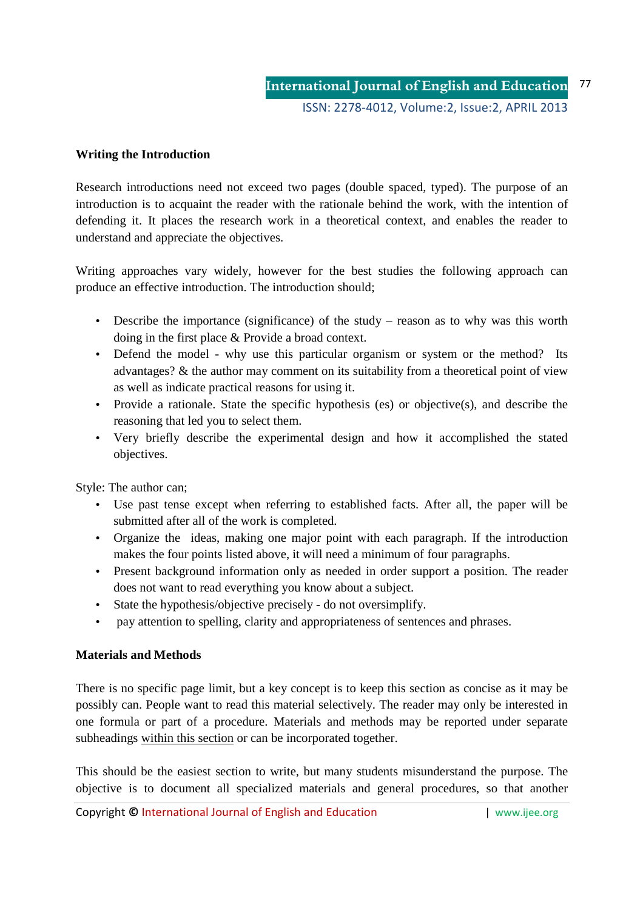## **Writing the Introduction**

Research introductions need not exceed two pages (double spaced, typed). The purpose of an introduction is to acquaint the reader with the rationale behind the work, with the intention of defending it. It places the research work in a theoretical context, and enables the reader to understand and appreciate the objectives.

Writing approaches vary widely, however for the best studies the following approach can produce an effective introduction. The introduction should;

- Describe the importance (significance) of the study reason as to why was this worth doing in the first place & Provide a broad context.
- Defend the model why use this particular organism or system or the method? Its advantages? & the author may comment on its suitability from a theoretical point of view as well as indicate practical reasons for using it.
- Provide a rationale. State the specific hypothesis (es) or objective(s), and describe the reasoning that led you to select them.
- Very briefly describe the experimental design and how it accomplished the stated objectives.

Style: The author can;

- Use past tense except when referring to established facts. After all, the paper will be submitted after all of the work is completed.
- Organize the ideas, making one major point with each paragraph. If the introduction makes the four points listed above, it will need a minimum of four paragraphs.
- Present background information only as needed in order support a position. The reader does not want to read everything you know about a subject.
- State the hypothesis/objective precisely do not oversimplify.
- pay attention to spelling, clarity and appropriateness of sentences and phrases.

## **Materials and Methods**

There is no specific page limit, but a key concept is to keep this section as concise as it may be possibly can. People want to read this material selectively. The reader may only be interested in one formula or part of a procedure. Materials and methods may be reported under separate subheadings within this section or can be incorporated together.

This should be the easiest section to write, but many students misunderstand the purpose. The objective is to document all specialized materials and general procedures, so that another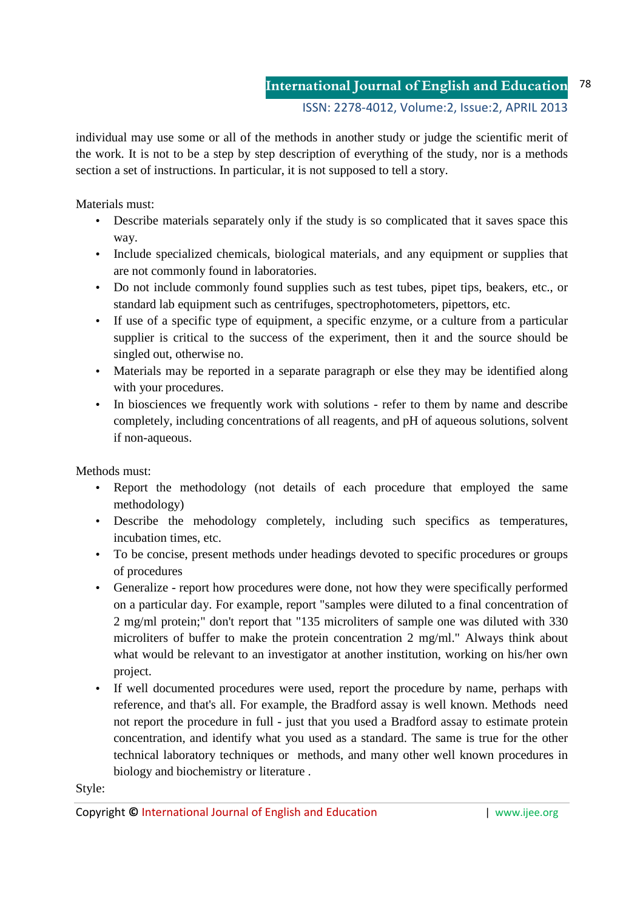individual may use some or all of the methods in another study or judge the scientific merit of the work. It is not to be a step by step description of everything of the study, nor is a methods section a set of instructions. In particular, it is not supposed to tell a story.

Materials must:

- Describe materials separately only if the study is so complicated that it saves space this way.
- Include specialized chemicals, biological materials, and any equipment or supplies that are not commonly found in laboratories.
- Do not include commonly found supplies such as test tubes, pipet tips, beakers, etc., or standard lab equipment such as centrifuges, spectrophotometers, pipettors, etc.
- If use of a specific type of equipment, a specific enzyme, or a culture from a particular supplier is critical to the success of the experiment, then it and the source should be singled out, otherwise no.
- Materials may be reported in a separate paragraph or else they may be identified along with your procedures.
- In biosciences we frequently work with solutions refer to them by name and describe completely, including concentrations of all reagents, and pH of aqueous solutions, solvent if non-aqueous.

Methods must:

- Report the methodology (not details of each procedure that employed the same methodology)
- Describe the mehodology completely, including such specifics as temperatures, incubation times, etc.
- To be concise, present methods under headings devoted to specific procedures or groups of procedures
- Generalize report how procedures were done, not how they were specifically performed on a particular day. For example, report "samples were diluted to a final concentration of 2 mg/ml protein;" don't report that "135 microliters of sample one was diluted with 330 microliters of buffer to make the protein concentration 2 mg/ml." Always think about what would be relevant to an investigator at another institution, working on his/her own project.
- If well documented procedures were used, report the procedure by name, perhaps with reference, and that's all. For example, the Bradford assay is well known. Methods need not report the procedure in full - just that you used a Bradford assay to estimate protein concentration, and identify what you used as a standard. The same is true for the other technical laboratory techniques or methods, and many other well known procedures in biology and biochemistry or literature .

Style: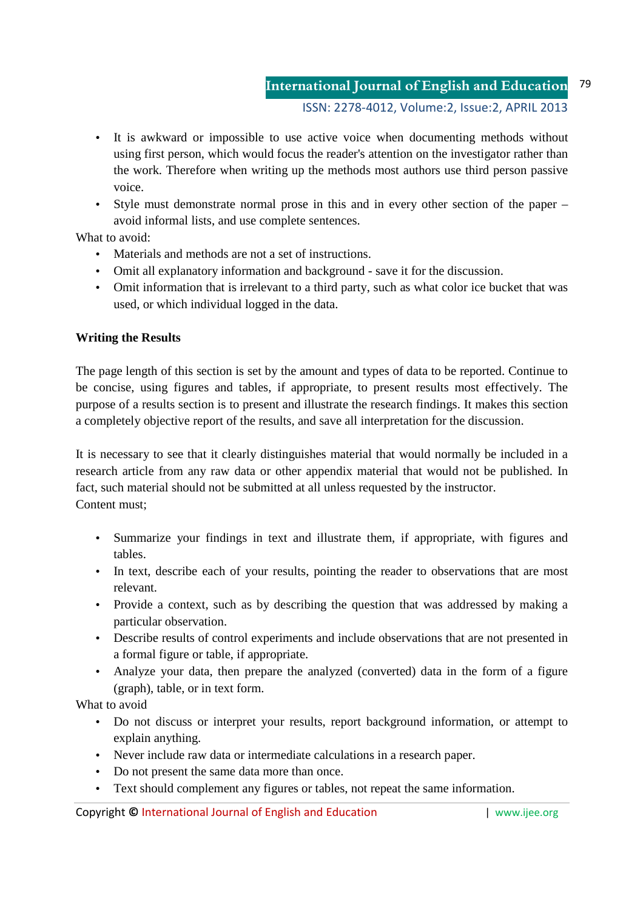- It is awkward or impossible to use active voice when documenting methods without using first person, which would focus the reader's attention on the investigator rather than the work. Therefore when writing up the methods most authors use third person passive voice.
- Style must demonstrate normal prose in this and in every other section of the paper avoid informal lists, and use complete sentences.

What to avoid:

- Materials and methods are not a set of instructions.
- Omit all explanatory information and background save it for the discussion.
- Omit information that is irrelevant to a third party, such as what color ice bucket that was used, or which individual logged in the data.

# **Writing the Results**

The page length of this section is set by the amount and types of data to be reported. Continue to be concise, using figures and tables, if appropriate, to present results most effectively. The purpose of a results section is to present and illustrate the research findings. It makes this section a completely objective report of the results, and save all interpretation for the discussion.

It is necessary to see that it clearly distinguishes material that would normally be included in a research article from any raw data or other appendix material that would not be published. In fact, such material should not be submitted at all unless requested by the instructor. Content must;

- Summarize your findings in text and illustrate them, if appropriate, with figures and tables.
- In text, describe each of your results, pointing the reader to observations that are most relevant.
- Provide a context, such as by describing the question that was addressed by making a particular observation.
- Describe results of control experiments and include observations that are not presented in a formal figure or table, if appropriate.
- Analyze your data, then prepare the analyzed (converted) data in the form of a figure (graph), table, or in text form.

What to avoid

- Do not discuss or interpret your results, report background information, or attempt to explain anything.
- Never include raw data or intermediate calculations in a research paper.
- Do not present the same data more than once.
- Text should complement any figures or tables, not repeat the same information.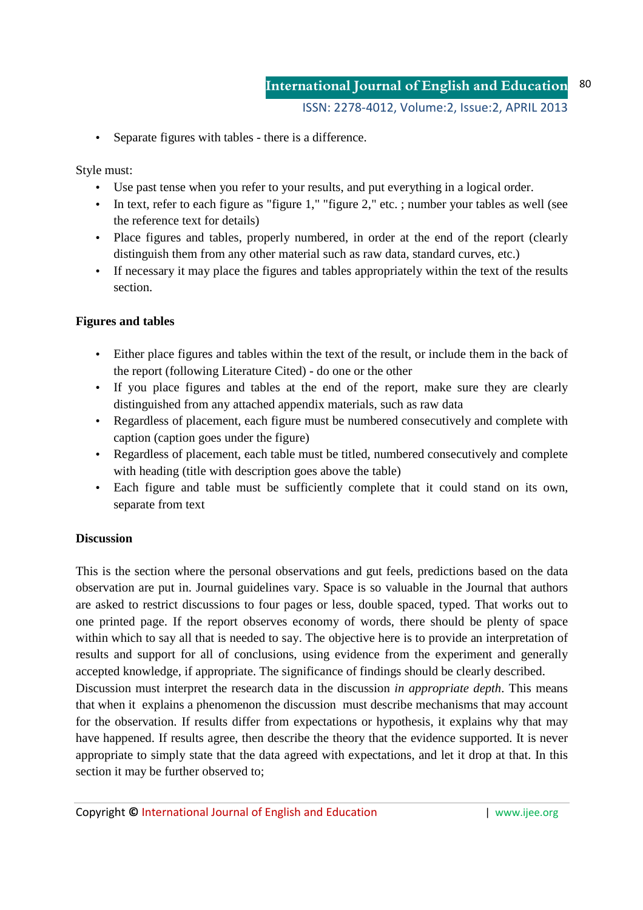• Separate figures with tables - there is a difference.

Style must:

- Use past tense when you refer to your results, and put everything in a logical order.
- In text, refer to each figure as "figure 1," "figure 2," etc. ; number your tables as well (see the reference text for details)
- Place figures and tables, properly numbered, in order at the end of the report (clearly distinguish them from any other material such as raw data, standard curves, etc.)
- If necessary it may place the figures and tables appropriately within the text of the results section.

## **Figures and tables**

- Either place figures and tables within the text of the result, or include them in the back of the report (following Literature Cited) - do one or the other
- If you place figures and tables at the end of the report, make sure they are clearly distinguished from any attached appendix materials, such as raw data
- Regardless of placement, each figure must be numbered consecutively and complete with caption (caption goes under the figure)
- Regardless of placement, each table must be titled, numbered consecutively and complete with heading (title with description goes above the table)
- Each figure and table must be sufficiently complete that it could stand on its own, separate from text

## **Discussion**

This is the section where the personal observations and gut feels, predictions based on the data observation are put in. Journal guidelines vary. Space is so valuable in the Journal that authors are asked to restrict discussions to four pages or less, double spaced, typed. That works out to one printed page. If the report observes economy of words, there should be plenty of space within which to say all that is needed to say. The objective here is to provide an interpretation of results and support for all of conclusions, using evidence from the experiment and generally accepted knowledge, if appropriate. The significance of findings should be clearly described.

Discussion must interpret the research data in the discussion *in appropriate depth*. This means that when it explains a phenomenon the discussion must describe mechanisms that may account for the observation. If results differ from expectations or hypothesis, it explains why that may have happened. If results agree, then describe the theory that the evidence supported. It is never appropriate to simply state that the data agreed with expectations, and let it drop at that. In this section it may be further observed to;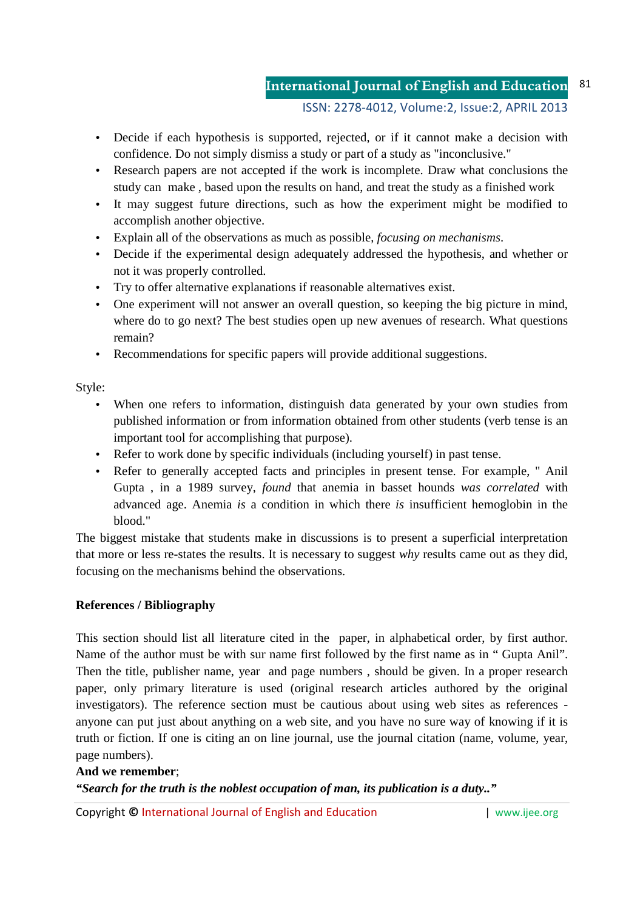#### ISSN: 2278-4012, Volume:2, Issue:2, APRIL 2013

- Decide if each hypothesis is supported, rejected, or if it cannot make a decision with confidence. Do not simply dismiss a study or part of a study as "inconclusive."
- Research papers are not accepted if the work is incomplete. Draw what conclusions the study can make , based upon the results on hand, and treat the study as a finished work
- It may suggest future directions, such as how the experiment might be modified to accomplish another objective.
- Explain all of the observations as much as possible, *focusing on mechanisms*.
- Decide if the experimental design adequately addressed the hypothesis, and whether or not it was properly controlled.
- Try to offer alternative explanations if reasonable alternatives exist.
- One experiment will not answer an overall question, so keeping the big picture in mind, where do to go next? The best studies open up new avenues of research. What questions remain?
- Recommendations for specific papers will provide additional suggestions.

Style:

- When one refers to information, distinguish data generated by your own studies from published information or from information obtained from other students (verb tense is an important tool for accomplishing that purpose).
- Refer to work done by specific individuals (including yourself) in past tense.
- Refer to generally accepted facts and principles in present tense. For example, " Anil Gupta , in a 1989 survey, *found* that anemia in basset hounds *was correlated* with advanced age. Anemia *is* a condition in which there *is* insufficient hemoglobin in the blood."

The biggest mistake that students make in discussions is to present a superficial interpretation that more or less re-states the results. It is necessary to suggest *why* results came out as they did, focusing on the mechanisms behind the observations.

## **References / Bibliography**

This section should list all literature cited in the paper, in alphabetical order, by first author. Name of the author must be with sur name first followed by the first name as in " Gupta Anil". Then the title, publisher name, year and page numbers , should be given. In a proper research paper, only primary literature is used (original research articles authored by the original investigators). The reference section must be cautious about using web sites as references anyone can put just about anything on a web site, and you have no sure way of knowing if it is truth or fiction. If one is citing an on line journal, use the journal citation (name, volume, year, page numbers).

## **And we remember**;

*"Search for the truth is the noblest occupation of man, its publication is a duty.."* 

Copyright **©** International Journal of English and Education | www.ijee.org